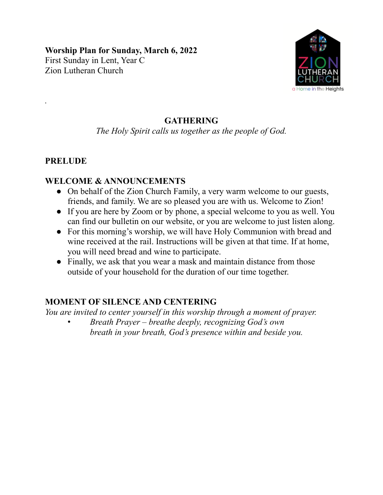**Worship Plan for Sunday, March 6, 2022** First Sunday in Lent, Year C Zion Lutheran Church



# **GATHERING**

*The Holy Spirit calls us together as the people of God.*

# **PRELUDE**

*.*

# **WELCOME & ANNOUNCEMENTS**

- On behalf of the Zion Church Family, a very warm welcome to our guests, friends, and family. We are so pleased you are with us. Welcome to Zion!
- If you are here by Zoom or by phone, a special welcome to you as well. You can find our bulletin on our website, or you are welcome to just listen along.
- For this morning's worship, we will have Holy Communion with bread and wine received at the rail. Instructions will be given at that time. If at home, you will need bread and wine to participate.
- Finally, we ask that you wear a mask and maintain distance from those outside of your household for the duration of our time together.

# **MOMENT OF SILENCE AND CENTERING**

*You are invited to center yourself in this worship through a moment of prayer.*

• *Breath Prayer – breathe deeply, recognizing God's own breath in your breath, God's presence within and beside you.*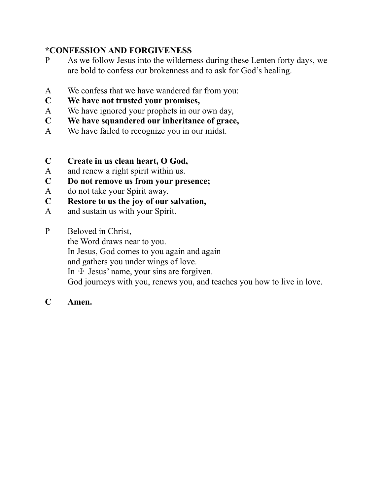# **\*CONFESSION AND FORGIVENESS**

- P As we follow Jesus into the wilderness during these Lenten forty days, we are bold to confess our brokenness and to ask for God's healing.
- A We confess that we have wandered far from you:
- **C We have not trusted your promises,**
- A We have ignored your prophets in our own day,
- **C We have squandered our inheritance of grace,**
- A We have failed to recognize you in our midst.
- **C Create in us clean heart, O God,**
- A and renew a right spirit within us.
- **C Do not remove us from your presence;**
- A do not take your Spirit away.
- **C Restore to us the joy of our salvation,**
- A and sustain us with your Spirit.
- P Beloved in Christ,

the Word draws near to you. In Jesus, God comes to you again and again and gathers you under wings of love. In  $\pm$  Jesus' name, your sins are forgiven. God journeys with you, renews you, and teaches you how to live in love.

# **C Amen.**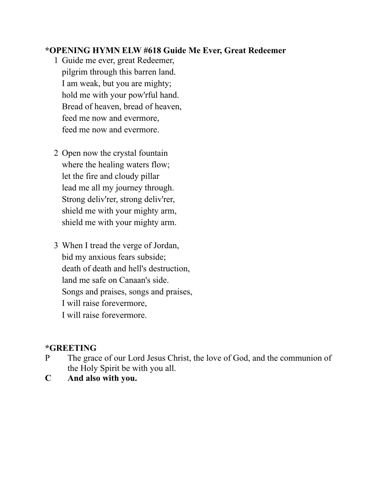#### **\*OPENING HYMN ELW #618 Guide Me Ever, Great Redeemer**

- 1 Guide me ever, great Redeemer, pilgrim through this barren land. I am weak, but you are mighty; hold me with your pow'rful hand. Bread of heaven, bread of heaven, feed me now and evermore, feed me now and evermore.
- 2 Open now the crystal fountain where the healing waters flow; let the fire and cloudy pillar lead me all my journey through. Strong deliv'rer, strong deliv'rer, shield me with your mighty arm, shield me with your mighty arm.
- 3 When I tread the verge of Jordan, bid my anxious fears subside; death of death and hell's destruction, land me safe on Canaan's side. Songs and praises, songs and praises, I will raise forevermore, I will raise forevermore.

#### **\*GREETING**

- P The grace of our Lord Jesus Christ, the love of God, and the communion of the Holy Spirit be with you all.
- **C And also with you.**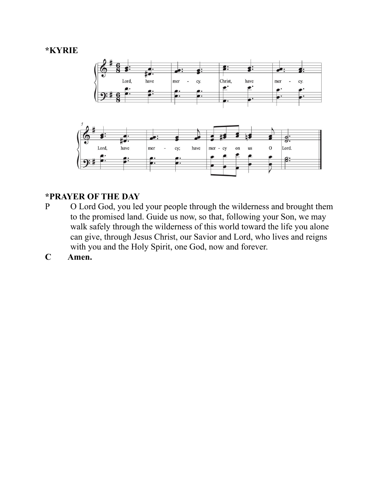#### **\*KYRIE**



## **\*PRAYER OF THE DAY**

- P O Lord God, you led your people through the wilderness and brought them to the promised land. Guide us now, so that, following your Son, we may walk safely through the wilderness of this world toward the life you alone can give, through Jesus Christ, our Savior and Lord, who lives and reigns with you and the Holy Spirit, one God, now and forever.
- **C Amen.**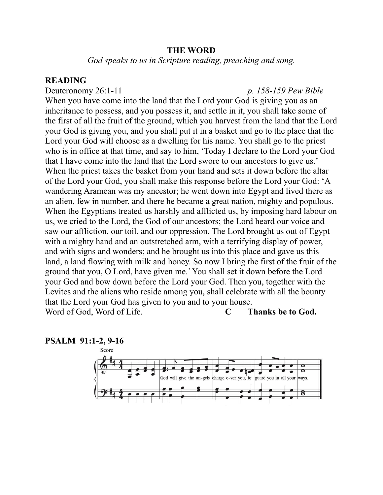#### **THE WORD**

*God speaks to us in Scripture reading, preaching and song.*

#### **READING**

#### Deuteronomy 26:1-11 *p. 158-159 Pew Bible*

When you have come into the land that the Lord your God is giving you as an inheritance to possess, and you possess it, and settle in it, you shall take some of the first of all the fruit of the ground, which you harvest from the land that the Lord your God is giving you, and you shall put it in a basket and go to the place that the Lord your God will choose as a dwelling for his name. You shall go to the priest who is in office at that time, and say to him, 'Today I declare to the Lord your God that I have come into the land that the Lord swore to our ancestors to give us.' When the priest takes the basket from your hand and sets it down before the altar of the Lord your God, you shall make this response before the Lord your God: 'A wandering Aramean was my ancestor; he went down into Egypt and lived there as an alien, few in number, and there he became a great nation, mighty and populous. When the Egyptians treated us harshly and afflicted us, by imposing hard labour on us, we cried to the Lord, the God of our ancestors; the Lord heard our voice and saw our affliction, our toil, and our oppression. The Lord brought us out of Egypt with a mighty hand and an outstretched arm, with a terrifying display of power, and with signs and wonders; and he brought us into this place and gave us this land, a land flowing with milk and honey. So now I bring the first of the fruit of the ground that you, O Lord, have given me.'You shall set it down before the Lord your God and bow down before the Lord your God. Then you, together with the Levites and the aliens who reside among you, shall celebrate with all the bounty that the Lord your God has given to you and to your house. Word of God, Word of Life. **C Thanks be to God.**



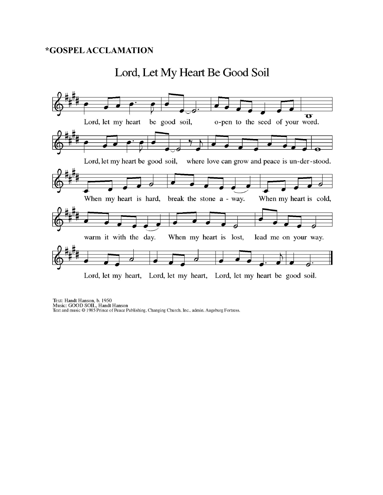#### **\*GOSPELACCLAMATION**

# Lord, Let My Heart Be Good Soil



Text: Handt Hanson, b. 1950<br>Music: GOOD SOIL, Handt Hanson<br>Text and music © 1985 Prince of Peace Publishing, Changing Church, Inc., admin. Augsburg Fortress.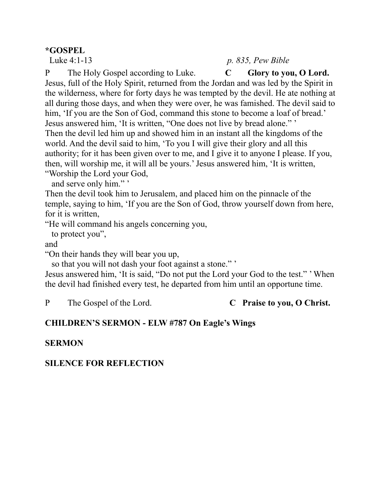#### **\*GOSPEL**

#### Luke 4:1-13 *p. 835, Pew Bible*

P The Holy Gospel according to Luke. **C Glory to you, O Lord.** Jesus, full of the Holy Spirit, returned from the Jordan and was led by the Spirit in the wilderness, where for forty days he was tempted by the devil. He ate nothing at all during those days, and when they were over, he was famished. The devil said to him, 'If you are the Son of God, command this stone to become a loaf of bread.' Jesus answered him, 'It is written, "One does not live by bread alone." ' Then the devil led him up and showed him in an instant all the kingdoms of the world. And the devil said to him, 'To you I will give their glory and all this authority; for it has been given over to me, and I give it to anyone I please. If you, then, will worship me, it will all be yours.'Jesus answered him, 'It is written, "Worship the Lord your God,

and serve only him." '

Then the devil took him to Jerusalem, and placed him on the pinnacle of the temple, saying to him, 'If you are the Son of God, throw yourself down from here, for it is written,

"He will command his angels concerning you,

to protect you",

and

"On their hands they will bear you up,

so that you will not dash your foot against a stone." '

Jesus answered him, 'It is said, "Do not put the Lord your God to the test." ' When the devil had finished every test, he departed from him until an opportune time.

P The Gospel of the Lord. **C Praise to you, O Christ.**

## **CHILDREN'S SERMON - ELW #787 On Eagle's Wings**

#### **SERMON**

## **SILENCE FOR REFLECTION**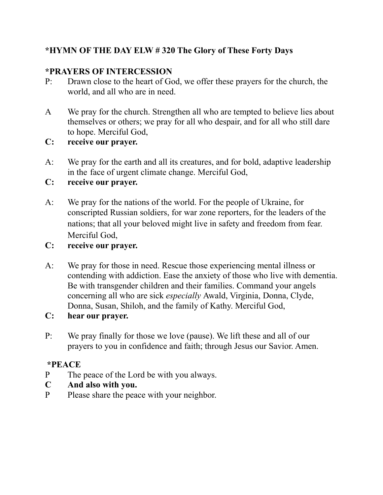# **\*HYMN OF THE DAY ELW # 320 The Glory of These Forty Days**

# **\*PRAYERS OF INTERCESSION**

- P: Drawn close to the heart of God, we offer these prayers for the church, the world, and all who are in need.
- A We pray for the church. Strengthen all who are tempted to believe lies about themselves or others; we pray for all who despair, and for all who still dare to hope. Merciful God,
- **C: receive our prayer.**
- A: We pray for the earth and all its creatures, and for bold, adaptive leadership in the face of urgent climate change. Merciful God,

# **C: receive our prayer.**

A: We pray for the nations of the world. For the people of Ukraine, for conscripted Russian soldiers, for war zone reporters, for the leaders of the nations; that all your beloved might live in safety and freedom from fear. Merciful God,

# **C: receive our prayer.**

A: We pray for those in need. Rescue those experiencing mental illness or contending with addiction. Ease the anxiety of those who live with dementia. Be with transgender children and their families. Command your angels concerning all who are sick *especially* Awald, Virginia, Donna, Clyde, Donna, Susan, Shiloh, and the family of Kathy. Merciful God,

# **C: hear our prayer.**

P: We pray finally for those we love (pause). We lift these and all of our prayers to you in confidence and faith; through Jesus our Savior. Amen.

# **\*PEACE**

- P The peace of the Lord be with you always.
- **C And also with you.**
- P Please share the peace with your neighbor.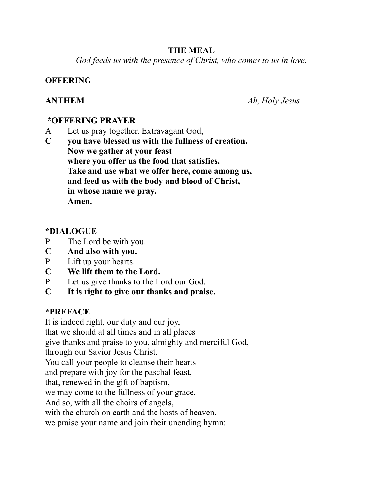#### **THE MEAL**

*God feeds us with the presence of Christ, who comes to us in love.*

# **OFFERING**

**ANTHEM** *Ah, Holy Jesus*

# **\*OFFERING PRAYER**

- A Let us pray together. Extravagant God,
- **C you have blessed us with the fullness of creation. Now we gather at your feast where you offer us the food that satisfies. Take and use what we offer here, come among us, and feed us with the body and blood of Christ, in whose name we pray. Amen.**

# **\*DIALOGUE**

- P The Lord be with you.
- **C And also with you.**
- P Lift up your hearts.
- **C We lift them to the Lord.**
- P Let us give thanks to the Lord our God.
- **C It is right to give our thanks and praise.**

# **\*PREFACE**

It is indeed right, our duty and our joy,

that we should at all times and in all places

give thanks and praise to you, almighty and merciful God,

through our Savior Jesus Christ.

You call your people to cleanse their hearts

and prepare with joy for the paschal feast,

that, renewed in the gift of baptism,

we may come to the fullness of your grace.

And so, with all the choirs of angels,

with the church on earth and the hosts of heaven,

we praise your name and join their unending hymn: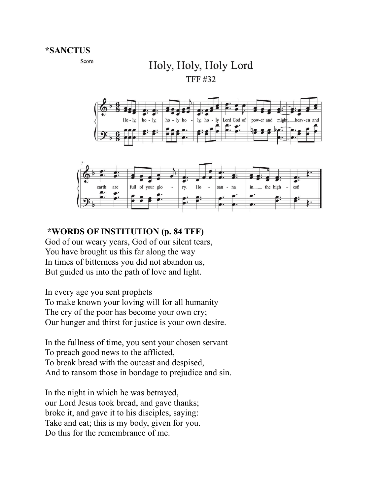Score

Holy, Holy, Holy Lord **TFF#32** 



# **\*WORDS OF INSTITUTION (p. 84 TFF)**

God of our weary years, God of our silent tears, You have brought us this far along the way In times of bitterness you did not abandon us, But guided us into the path of love and light.

In every age you sent prophets To make known your loving will for all humanity The cry of the poor has become your own cry; Our hunger and thirst for justice is your own desire.

In the fullness of time, you sent your chosen servant To preach good news to the afflicted, To break bread with the outcast and despised, And to ransom those in bondage to prejudice and sin.

In the night in which he was betrayed, our Lord Jesus took bread, and gave thanks; broke it, and gave it to his disciples, saying: Take and eat; this is my body, given for you. Do this for the remembrance of me.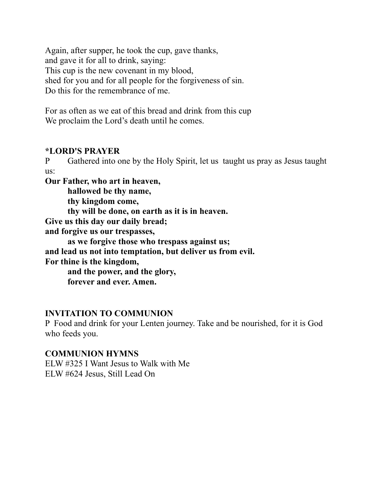Again, after supper, he took the cup, gave thanks, and gave it for all to drink, saying: This cup is the new covenant in my blood, shed for you and for all people for the forgiveness of sin. Do this for the remembrance of me.

For as often as we eat of this bread and drink from this cup We proclaim the Lord's death until he comes.

#### **\*LORD'S PRAYER**

P Gathered into one by the Holy Spirit, let us taught us pray as Jesus taught us:

**Our Father, who art in heaven,**

**hallowed be thy name,**

**thy kingdom come,**

**thy will be done, on earth as it is in heaven.**

**Give us this day our daily bread;**

**and forgive us our trespasses,**

**as we forgive those who trespass against us; and lead us not into temptation, but deliver us from evil. For thine is the kingdom, and the power, and the glory, forever and ever. Amen.**

#### **INVITATION TO COMMUNION**

P Food and drink for your Lenten journey. Take and be nourished, for it is God who feeds you.

#### **COMMUNION HYMNS**

ELW #325 I Want Jesus to Walk with Me ELW #624 Jesus, Still Lead On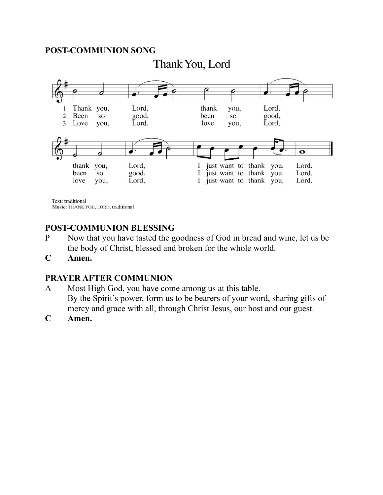#### **POST-COMMUNION SONG**



Thank You, Lord

Text: traditional Music: THANK YOU, LORD, traditional

# **POST-COMMUNION BLESSING**

- P Now that you have tasted the goodness of God in bread and wine, let us be the body of Christ, blessed and broken for the whole world.
- **C Amen.**

## **PRAYER AFTER COMMUNION**

- A Most High God, you have come among us at this table. By the Spirit's power, form us to be bearers of your word, sharing gifts of mercy and grace with all, through Christ Jesus, our host and our guest.
- **C Amen.**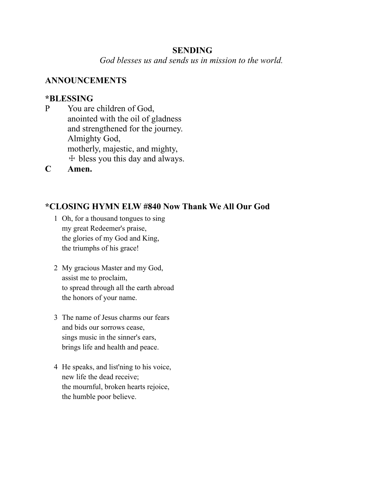#### **SENDING**

*God blesses us and sends us in mission to the world.*

#### **ANNOUNCEMENTS**

#### **\*BLESSING**

- P You are children of God, anointed with the oil of gladness and strengthened for the journey. Almighty God, motherly, majestic, and mighty, ☩ bless you this day and always.
- **C Amen.**

#### **\*CLOSING HYMN ELW #840 Now Thank We All Our God**

- 1 Oh, for a thousand tongues to sing my great Redeemer's praise, the glories of my God and King, the triumphs of his grace!
- 2 My gracious Master and my God, assist me to proclaim, to spread through all the earth abroad the honors of your name.
- 3 The name of Jesus charms our fears and bids our sorrows cease, sings music in the sinner's ears, brings life and health and peace.
- 4 He speaks, and list'ning to his voice, new life the dead receive; the mournful, broken hearts rejoice, the humble poor believe.